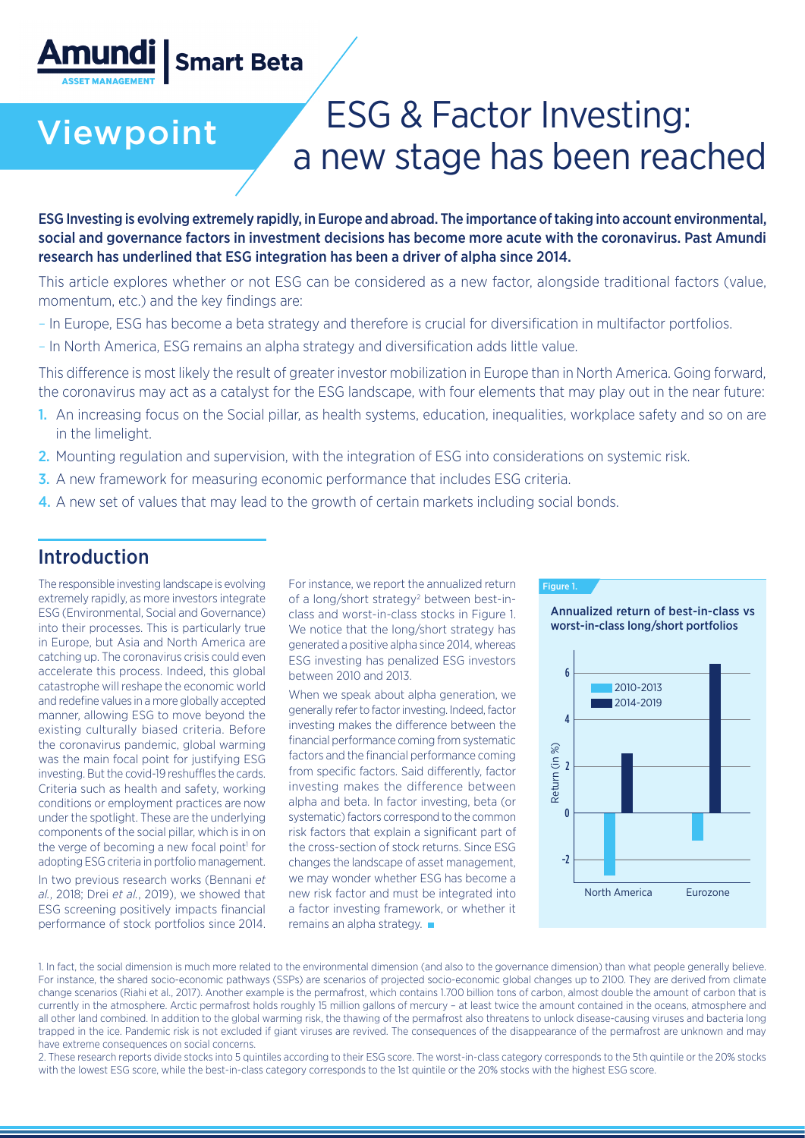## **Amundi |** Smart Beta

# Viewpoint ESG & Factor Investing: a new stage has been reached

ESG Investing is evolving extremely rapidly, in Europe and abroad. The importance of taking into account environmental, social and governance factors in investment decisions has become more acute with the coronavirus. Past Amundi research has underlined that ESG integration has been a driver of alpha since 2014.

This article explores whether or not ESG can be considered as a new factor, alongside traditional factors (value, momentum, etc.) and the key findings are:

- In Europe, ESG has become a beta strategy and therefore is crucial for diversification in multifactor portfolios.
- In North America, ESG remains an alpha strategy and diversification adds little value.

This difference is most likely the result of greater investor mobilization in Europe than in North America. Going forward, the coronavirus may act as a catalyst for the ESG landscape, with four elements that may play out in the near future:

- 1. An increasing focus on the Social pillar, as health systems, education, inequalities, workplace safety and so on are in the limelight.
- 2. Mounting regulation and supervision, with the integration of ESG into considerations on systemic risk.
- 3. A new framework for measuring economic performance that includes ESG criteria.
- 4. A new set of values that may lead to the growth of certain markets including social bonds.

### Introduction

The responsible investing landscape is evolving extremely rapidly, as more investors integrate ESG (Environmental, Social and Governance) into their processes. This is particularly true in Europe, but Asia and North America are catching up. The coronavirus crisis could even accelerate this process. Indeed, this global catastrophe will reshape the economic world and redefine values in a more globally accepted manner, allowing ESG to move beyond the existing culturally biased criteria. Before the coronavirus pandemic, global warming was the main focal point for justifying ESG investing. But the covid-19 reshuffles the cards. Criteria such as health and safety, working conditions or employment practices are now under the spotlight. These are the underlying components of the social pillar, which is in on the verge of becoming a new focal point<sup>1</sup> for adopting ESG criteria in portfolio management.

In two previous research works (Bennani *et al.*, 2018; Drei *et al.*, 2019), we showed that ESG screening positively impacts financial performance of stock portfolios since 2014. For instance, we report the annualized return of a long/short strategy<sup>2</sup> between best-inclass and worst-in-class stocks in Figure 1. We notice that the long/short strategy has generated a positive alpha since 2014, whereas ESG investing has penalized ESG investors between 2010 and 2013.

When we speak about alpha generation, we generally refer to factor investing. Indeed, factor investing makes the difference between the financial performance coming from systematic factors and the financial performance coming from specific factors. Said differently, factor investing makes the difference between alpha and beta. In factor investing, beta (or systematic) factors correspond to the common risk factors that explain a significant part of the cross-section of stock returns. Since ESG changes the landscape of asset management, we may wonder whether ESG has become a new risk factor and must be integrated into a factor investing framework, or whether it remains an alpha strategy.



Annualized return of best-in-class vs worst-in-class long/short portfolios



1. In fact, the social dimension is much more related to the environmental dimension (and also to the governance dimension) than what people generally believe. For instance, the shared socio-economic pathways (SSPs) are scenarios of projected socio-economic global changes up to 2100. They are derived from climate change scenarios (Riahi et al., 2017). Another example is the permafrost, which contains 1.700 billion tons of carbon, almost double the amount of carbon that is currently in the atmosphere. Arctic permafrost holds roughly 15 million gallons of mercury – at least twice the amount contained in the oceans, atmosphere and all other land combined. In addition to the global warming risk, the thawing of the permafrost also threatens to unlock disease-causing viruses and bacteria long trapped in the ice. Pandemic risk is not excluded if giant viruses are revived. The consequences of the disappearance of the permafrost are unknown and may have extreme consequences on social concerns.

2. These research reports divide stocks into 5 quintiles according to their ESG score. The worst-in-class category corresponds to the 5th quintile or the 20% stocks with the lowest ESG score, while the best-in-class category corresponds to the 1st quintile or the 20% stocks with the highest ESG score.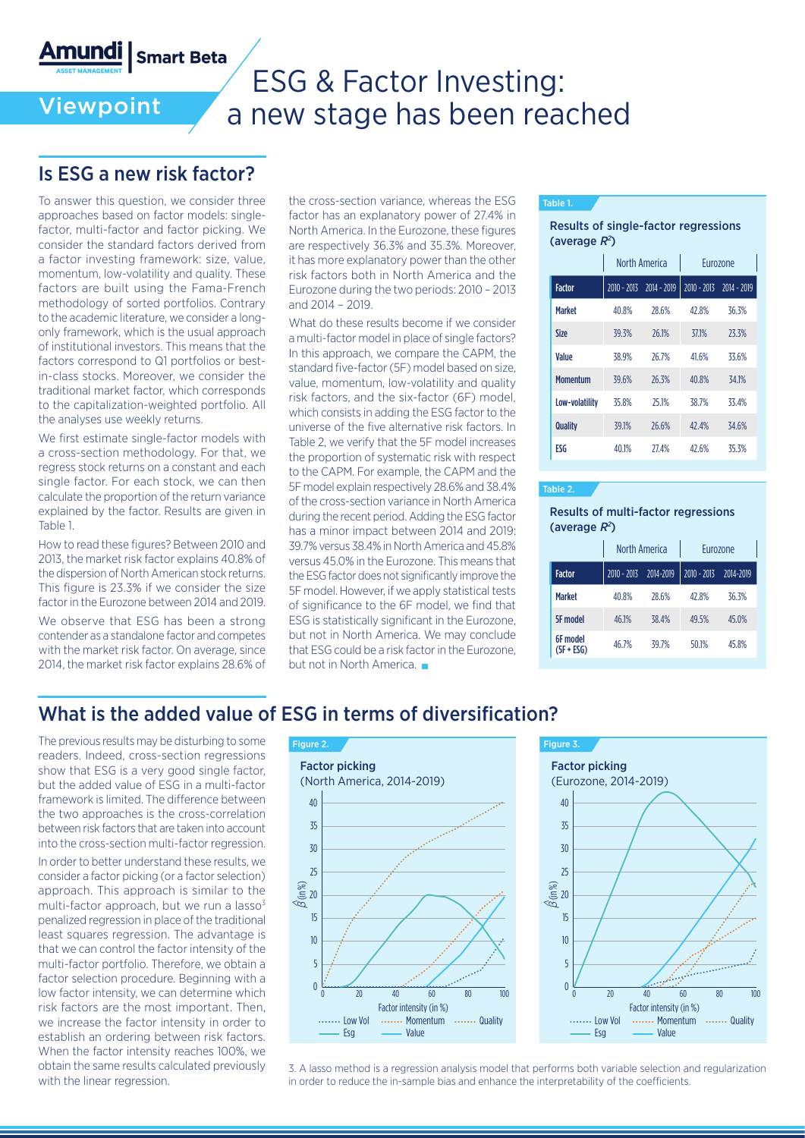**Smart Beta** Amundi |

Viewpoint

## ESG & Factor Investing: a new stage has been reached

### Is ESG a new risk factor?

To answer this question, we consider three approaches based on factor models: singlefactor, multi-factor and factor picking. We consider the standard factors derived from a factor investing framework: size, value, momentum, low-volatility and quality. These factors are built using the Fama-French methodology of sorted portfolios. Contrary to the academic literature, we consider a longonly framework, which is the usual approach of institutional investors. This means that the factors correspond to Q1 portfolios or bestin-class stocks. Moreover, we consider the traditional market factor, which corresponds to the capitalization-weighted portfolio. All the analyses use weekly returns.

We first estimate single-factor models with a cross-section methodology. For that, we regress stock returns on a constant and each single factor. For each stock, we can then calculate the proportion of the return variance explained by the factor. Results are given in Table 1.

How to read these figures? Between 2010 and 2013, the market risk factor explains 40.8% of the dispersion of North American stock returns. This figure is 23.3% if we consider the size factor in the Eurozone between 2014 and 2019.

We observe that ESG has been a strong contender as a standalone factor and competes with the market risk factor. On average, since 2014, the market risk factor explains 28.6% of

the cross-section variance, whereas the ESG factor has an explanatory power of 27.4% in North America. In the Eurozone, these figures are respectively 36.3% and 35.3%. Moreover, it has more explanatory power than the other risk factors both in North America and the Eurozone during the two periods: 2010 – 2013 and 2014 – 2019.

What do these results become if we consider a multi-factor model in place of single factors? In this approach, we compare the CAPM, the standard five-factor (5F) model based on size, value, momentum, low-volatility and quality risk factors, and the six-factor (6F) model, which consists in adding the ESG factor to the universe of the five alternative risk factors. In Table 2, we verify that the 5F model increases the proportion of systematic risk with respect to the CAPM. For example, the CAPM and the 5F model explain respectively 28.6% and 38.4% of the cross-section variance in North America during the recent period. Adding the ESG factor has a minor impact between 2014 and 2019: 39.7% versus 38.4% in North America and 45.8% versus 45.0% in the Eurozone. This means that the ESG factor does not significantly improve the 5F model. However, if we apply statistical tests of significance to the 6F model, we find that ESG is statistically significant in the Eurozone, but not in North America. We may conclude that ESG could be a risk factor in the Eurozone, but not in North America

### Table 1.

Results of single-factor regressions (average  $R^2$ )

|                 | North America |                             | <b>Furozone</b> |                           |
|-----------------|---------------|-----------------------------|-----------------|---------------------------|
| <b>Factor</b>   |               | $2010 - 2013$ $2014 - 2019$ |                 | 2010 - 2013 - 2014 - 2019 |
| <b>Market</b>   | 40.8%         | 28.6%                       | 47.8%           | 36.3%                     |
| <b>Size</b>     | 39.3%         | 26.1%                       | 371%            | 23.3%                     |
| Value           | 38.9%         | 26.7%                       | 41.6%           | 33.6%                     |
| <b>Momentum</b> | 39.6%         | 26.3%                       | 40.8%           | 34.1%                     |
| Low-volatility  | 35.8%         | 25.1%                       | 38.7%           | 33.4%                     |
| Quality         | 39.1%         | 26.6%                       | 47.4%           | 34.6%                     |
| <b>FSG</b>      | 40.1%         | <b>27.4%</b>                | 42.6%           | 35.3%                     |

#### Table 2.

#### Results of multi-factor regressions (average  $R^2$ )

|                        | North America |           | Eurozone      |           |
|------------------------|---------------|-----------|---------------|-----------|
| <b>Factor</b>          | $2010 - 2013$ | 2014-2019 | $2010 - 2013$ | 2014-2019 |
| <b>Market</b>          | 40.8%         | 28.6%     | 42.8%         | 36.3%     |
| <b>5F</b> model        | 46.1%         | 38.4%     | 49.5%         | 45.0%     |
| 6F model<br>(5F + ESG) | 46.7%         | 39.7%     | 50.1%         | 45.8%     |

### What is the added value of ESG in terms of diversification?

The previous results may be disturbing to some readers. Indeed, cross-section regressions show that ESG is a very good single factor, but the added value of ESG in a multi-factor framework is limited. The difference between the two approaches is the cross-correlation between risk factors that are taken into account into the cross-section multi-factor regression.

In order to better understand these results, we consider a factor picking (or a factor selection) approach. This approach is similar to the multi-factor approach, but we run a  $lasso<sup>3</sup>$ penalized regression in place of the traditional least squares regression. The advantage is that we can control the factor intensity of the multi-factor portfolio. Therefore, we obtain a factor selection procedure. Beginning with a low factor intensity, we can determine which risk factors are the most important. Then, we increase the factor intensity in order to establish an ordering between risk factors. When the factor intensity reaches 100%, we obtain the same results calculated previously with the linear regression.



3. A lasso method is a regression analysis model that performs both variable selection and regularization in order to reduce the in-sample bias and enhance the interpretability of the coefficients.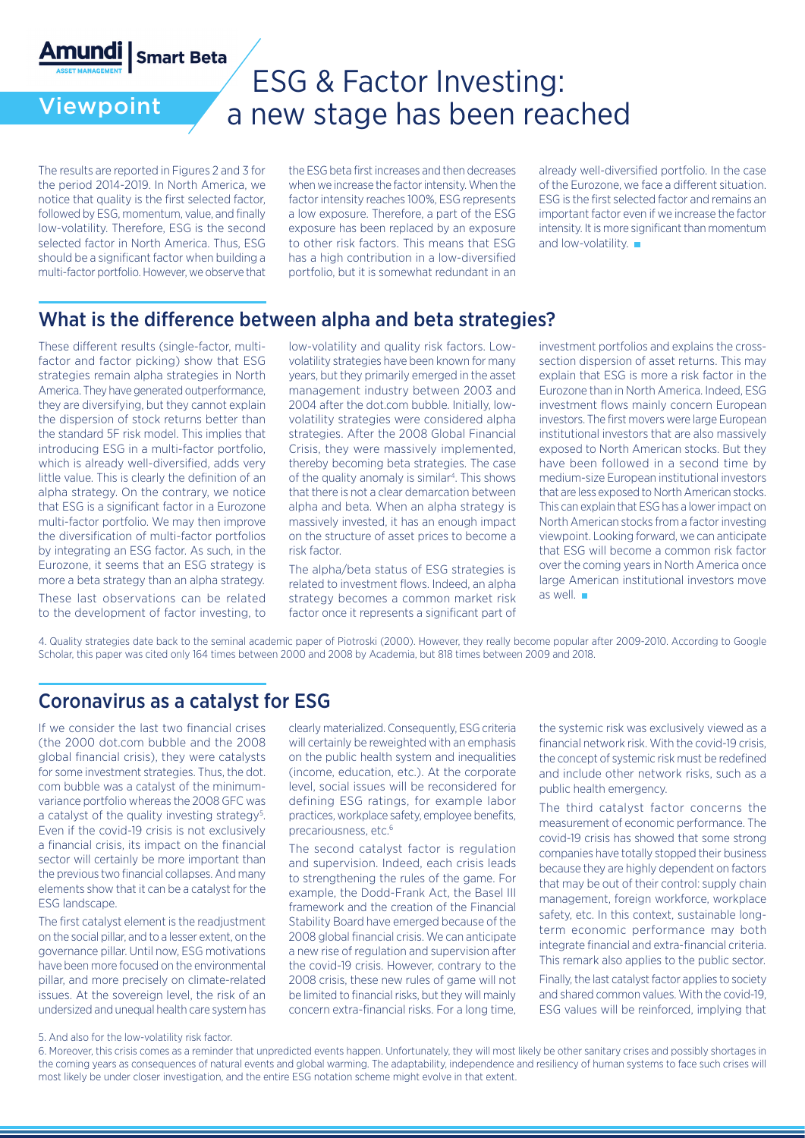

Viewpoint

## ESG & Factor Investing: a new stage has been reached

The results are reported in Figures 2 and 3 for the period 2014-2019. In North America, we notice that quality is the first selected factor, followed by ESG, momentum, value, and finally low-volatility. Therefore, ESG is the second selected factor in North America. Thus, ESG should be a significant factor when building a multi-factor portfolio. However, we observe that the ESG beta first increases and then decreases when we increase the factor intensity. When the factor intensity reaches 100%, ESG represents a low exposure. Therefore, a part of the ESG exposure has been replaced by an exposure to other risk factors. This means that ESG has a high contribution in a low-diversified portfolio, but it is somewhat redundant in an

already well-diversified portfolio. In the case of the Eurozone, we face a different situation. ESG is the first selected factor and remains an important factor even if we increase the factor intensity. It is more significant than momentum and low-volatility.

## What is the difference between alpha and beta strategies?

These different results (single-factor, multifactor and factor picking) show that ESG strategies remain alpha strategies in North America. They have generated outperformance, they are diversifying, but they cannot explain the dispersion of stock returns better than the standard 5F risk model. This implies that introducing ESG in a multi-factor portfolio, which is already well-diversified, adds very little value. This is clearly the definition of an alpha strategy. On the contrary, we notice that ESG is a significant factor in a Eurozone multi-factor portfolio. We may then improve the diversification of multi-factor portfolios by integrating an ESG factor. As such, in the Eurozone, it seems that an ESG strategy is more a beta strategy than an alpha strategy.

These last observations can be related to the development of factor investing, to

low-volatility and quality risk factors. Lowvolatility strategies have been known for many years, but they primarily emerged in the asset management industry between 2003 and 2004 after the dot.com bubble. Initially, lowvolatility strategies were considered alpha strategies. After the 2008 Global Financial Crisis, they were massively implemented, thereby becoming beta strategies. The case of the quality anomaly is similar<sup>4</sup>. This shows that there is not a clear demarcation between alpha and beta. When an alpha strategy is massively invested, it has an enough impact on the structure of asset prices to become a risk factor.

The alpha/beta status of ESG strategies is related to investment flows. Indeed, an alpha strategy becomes a common market risk factor once it represents a significant part of

investment portfolios and explains the crosssection dispersion of asset returns. This may explain that ESG is more a risk factor in the Eurozone than in North America. Indeed, ESG investment flows mainly concern European investors. The first movers were large European institutional investors that are also massively exposed to North American stocks. But they have been followed in a second time by medium-size European institutional investors that are less exposed to North American stocks. This can explain that ESG has a lower impact on North American stocks from a factor investing viewpoint. Looking forward, we can anticipate that ESG will become a common risk factor over the coming years in North America once large American institutional investors move as well.

4. Quality strategies date back to the seminal academic paper of Piotroski (2000). However, they really become popular after 2009-2010. According to Google Scholar, this paper was cited only 164 times between 2000 and 2008 by Academia, but 818 times between 2009 and 2018.

### Coronavirus as a catalyst for ESG

If we consider the last two financial crises (the 2000 dot.com bubble and the 2008 global financial crisis), they were catalysts for some investment strategies. Thus, the dot. com bubble was a catalyst of the minimumvariance portfolio whereas the 2008 GFC was a catalyst of the quality investing strategy<sup>5</sup>. Even if the covid-19 crisis is not exclusively a financial crisis, its impact on the financial sector will certainly be more important than the previous two financial collapses. And many elements show that it can be a catalyst for the ESG landscape.

The first catalyst element is the readjustment on the social pillar, and to a lesser extent, on the governance pillar. Until now, ESG motivations have been more focused on the environmental pillar, and more precisely on climate-related issues. At the sovereign level, the risk of an undersized and unequal health care system has clearly materialized. Consequently, ESG criteria will certainly be reweighted with an emphasis on the public health system and inequalities (income, education, etc.). At the corporate level, social issues will be reconsidered for defining ESG ratings, for example labor practices, workplace safety, employee benefits, precariousness, etc.6

The second catalyst factor is regulation and supervision. Indeed, each crisis leads to strengthening the rules of the game. For example, the Dodd-Frank Act, the Basel III framework and the creation of the Financial Stability Board have emerged because of the 2008 global financial crisis. We can anticipate a new rise of regulation and supervision after the covid-19 crisis. However, contrary to the 2008 crisis, these new rules of game will not be limited to financial risks, but they will mainly concern extra-financial risks. For a long time,

the systemic risk was exclusively viewed as a financial network risk. With the covid-19 crisis, the concept of systemic risk must be redefined and include other network risks, such as a public health emergency.

The third catalyst factor concerns the measurement of economic performance. The covid-19 crisis has showed that some strong companies have totally stopped their business because they are highly dependent on factors that may be out of their control: supply chain management, foreign workforce, workplace safety, etc. In this context, sustainable longterm economic performance may both integrate financial and extra-financial criteria. This remark also applies to the public sector.

Finally, the last catalyst factor applies to society and shared common values. With the covid-19, ESG values will be reinforced, implying that

<sup>5.</sup> And also for the low-volatility risk factor.

<sup>6.</sup> Moreover, this crisis comes as a reminder that unpredicted events happen. Unfortunately, they will most likely be other sanitary crises and possibly shortages in the coming years as consequences of natural events and global warming. The adaptability, independence and resiliency of human systems to face such crises will most likely be under closer investigation, and the entire ESG notation scheme might evolve in that extent.